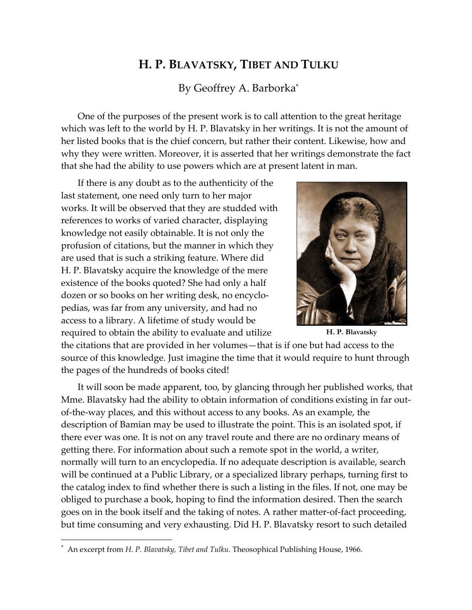## **H. P. BLAVATSKY, TIBET AND TULKU**

By Geoffrey A. Barborka\*

One of the purposes of the present work is to call attention to the great heritage which was left to the world by H. P. Blavatsky in her writings. It is not the amount of her listed books that is the chief concern, but rather their content. Likewise, how and why they were written. Moreover, it is asserted that her writings demonstrate the fact that she had the ability to use powers which are at present latent in man.

If there is any doubt as to the authenticity of the last statement, one need only turn to her major works. It will be observed that they are studded with references to works of varied character, displaying knowledge not easily obtainable. It is not only the profusion of citations, but the manner in which they are used that is such a striking feature. Where did H. P. Blavatsky acquire the knowledge of the mere existence of the books quoted? She had only a half dozen or so books on her writing desk, no encyclopedias, was far from any university, and had no access to a library. A lifetime of study would be required to obtain the ability to evaluate and utilize **H. P. Blavatsky** 



the citations that are provided in her volumes—that is if one but had access to the source of this knowledge. Just imagine the time that it would require to hunt through the pages of the hundreds of books cited!

It will soon be made apparent, too, by glancing through her published works, that Mme. Blavatsky had the ability to obtain information of conditions existing in far outof-the-way places, and this without access to any books. As an example, the description of Bamian may be used to illustrate the point. This is an isolated spot, if there ever was one. It is not on any travel route and there are no ordinary means of getting there. For information about such a remote spot in the world, a writer, normally will turn to an encyclopedia. If no adequate description is available, search will be continued at a Public Library, or a specialized library perhaps, turning first to the catalog index to find whether there is such a listing in the files. If not, one may be obliged to purchase a book, hoping to find the information desired. Then the search goes on in the book itself and the taking of notes. A rather matter-of-fact proceeding, but time consuming and very exhausting. Did H. P. Blavatsky resort to such detailed

 $\overline{a}$ 

<sup>\*</sup> An excerpt from *H. P. Blavatsky, Tibet and Tulku.* Theosophical Publishing House, 1966.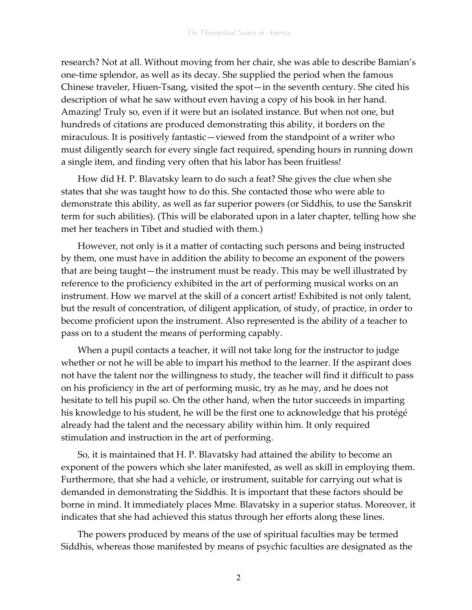research? Not at all. Without moving from her chair, she was able to describe Bamian's one-time splendor, as well as its decay. She supplied the period when the famous Chinese traveler, Hiuen-Tsang, visited the spot—in the seventh century. She cited his description of what he saw without even having a copy of his book in her hand. Amazing! Truly so, even if it were but an isolated instance. But when not one, but hundreds of citations are produced demonstrating this ability, it borders on the miraculous. It is positively fantastic—viewed from the standpoint of a writer who must diligently search for every single fact required, spending hours in running down a single item, and finding very often that his labor has been fruitless!

How did H. P. Blavatsky learn to do such a feat? She gives the clue when she states that she was taught how to do this. She contacted those who were able to demonstrate this ability, as well as far superior powers (or Siddhis, to use the Sanskrit term for such abilities). (This will be elaborated upon in a later chapter, telling how she met her teachers in Tibet and studied with them.)

However, not only is it a matter of contacting such persons and being instructed by them, one must have in addition the ability to become an exponent of the powers that are being taught—the instrument must be ready. This may be well illustrated by reference to the proficiency exhibited in the art of performing musical works on an instrument. How we marvel at the skill of a concert artist! Exhibited is not only talent, but the result of concentration, of diligent application, of study, of practice, in order to become proficient upon the instrument. Also represented is the ability of a teacher to pass on to a student the means of performing capably.

When a pupil contacts a teacher, it will not take long for the instructor to judge whether or not he will be able to impart his method to the learner. If the aspirant does not have the talent nor the willingness to study, the teacher will find it difficult to pass on his proficiency in the art of performing music, try as he may, and he does not hesitate to tell his pupil so. On the other hand, when the tutor succeeds in imparting his knowledge to his student, he will be the first one to acknowledge that his protégé already had the talent and the necessary ability within him. It only required stimulation and instruction in the art of performing.

So, it is maintained that H. P. Blavatsky had attained the ability to become an exponent of the powers which she later manifested, as well as skill in employing them. Furthermore, that she had a vehicle, or instrument, suitable for carrying out what is demanded in demonstrating the Siddhis. It is important that these factors should be borne in mind. It immediately places Mme. Blavatsky in a superior status. Moreover, it indicates that she had achieved this status through her efforts along these lines.

The powers produced by means of the use of spiritual faculties may be termed Siddhis, whereas those manifested by means of psychic faculties are designated as the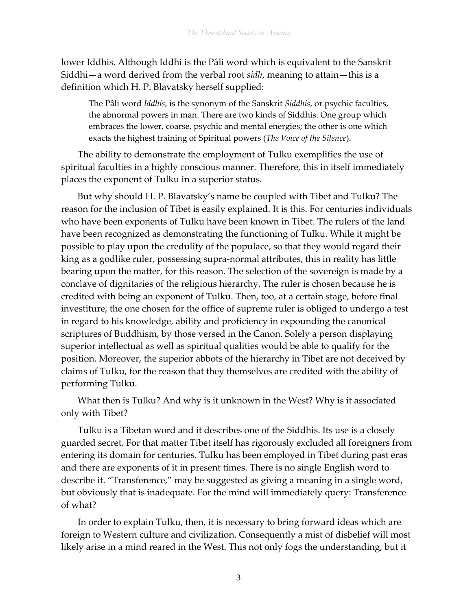lower Iddhis. Although Iddhi is the Pâli word which is equivalent to the Sanskrit Siddhi—a word derived from the verbal root *sidh*, meaning to attain—this is a definition which H. P. Blavatsky herself supplied:

The Pâli word *Iddhis*, is the synonym of the Sanskrit *Siddhis*, or psychic faculties, the abnormal powers in man. There are two kinds of Siddhis. One group which embraces the lower, coarse, psychic and mental energies; the other is one which exacts the highest training of Spiritual powers (*The Voice of the Silence*).

The ability to demonstrate the employment of Tulku exemplifies the use of spiritual faculties in a highly conscious manner. Therefore, this in itself immediately places the exponent of Tulku in a superior status.

But why should H. P. Blavatsky's name be coupled with Tibet and Tulku? The reason for the inclusion of Tibet is easily explained. It is this. For centuries individuals who have been exponents of Tulku have been known in Tibet. The rulers of the land have been recognized as demonstrating the functioning of Tulku. While it might be possible to play upon the credulity of the populace, so that they would regard their king as a godlike ruler, possessing supra-normal attributes, this in reality has little bearing upon the matter, for this reason. The selection of the sovereign is made by a conclave of dignitaries of the religious hierarchy. The ruler is chosen because he is credited with being an exponent of Tulku. Then, too, at a certain stage, before final investiture, the one chosen for the office of supreme ruler is obliged to undergo a test in regard to his knowledge, ability and proficiency in expounding the canonical scriptures of Buddhism, by those versed in the Canon. Solely a person displaying superior intellectual as well as spiritual qualities would be able to qualify for the position. Moreover, the superior abbots of the hierarchy in Tibet are not deceived by claims of Tulku, for the reason that they themselves are credited with the ability of performing Tulku.

What then is Tulku? And why is it unknown in the West? Why is it associated only with Tibet?

Tulku is a Tibetan word and it describes one of the Siddhis. Its use is a closely guarded secret. For that matter Tibet itself has rigorously excluded all foreigners from entering its domain for centuries. Tulku has been employed in Tibet during past eras and there are exponents of it in present times. There is no single English word to describe it. "Transference," may be suggested as giving a meaning in a single word, but obviously that is inadequate. For the mind will immediately query: Transference of what?

In order to explain Tulku, then, it is necessary to bring forward ideas which are foreign to Western culture and civilization. Consequently a mist of disbelief will most likely arise in a mind reared in the West. This not only fogs the understanding, but it